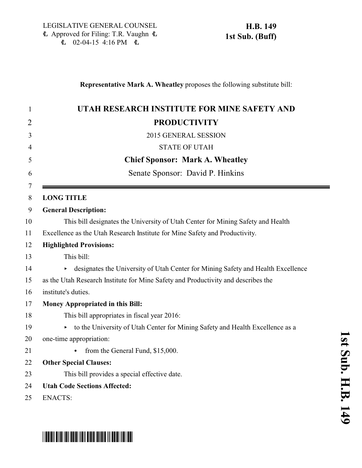\*HB0149S01\*

## **Representative Mark A. Wheatley** proposes the following substitute bill:

| $\mathbf{1}$   | UTAH RESEARCH INSTITUTE FOR MINE SAFETY AND                                           |  |
|----------------|---------------------------------------------------------------------------------------|--|
| $\overline{2}$ | <b>PRODUCTIVITY</b>                                                                   |  |
| 3              | 2015 GENERAL SESSION                                                                  |  |
| 4              | <b>STATE OF UTAH</b>                                                                  |  |
| 5              | <b>Chief Sponsor: Mark A. Wheatley</b>                                                |  |
| 6              | Senate Sponsor: David P. Hinkins                                                      |  |
| 7<br>8         | <b>LONG TITLE</b>                                                                     |  |
| 9              | <b>General Description:</b>                                                           |  |
| 10             | This bill designates the University of Utah Center for Mining Safety and Health       |  |
| 11             | Excellence as the Utah Research Institute for Mine Safety and Productivity.           |  |
| 12             | <b>Highlighted Provisions:</b>                                                        |  |
| 13             | This bill:                                                                            |  |
| 14             | designates the University of Utah Center for Mining Safety and Health Excellence<br>▶ |  |
| 15             | as the Utah Research Institute for Mine Safety and Productivity and describes the     |  |
| 16             | institute's duties.                                                                   |  |
| 17             | <b>Money Appropriated in this Bill:</b>                                               |  |
| 18             | This bill appropriates in fiscal year 2016:                                           |  |
| 19             | to the University of Utah Center for Mining Safety and Health Excellence as a         |  |
| 20             | one-time appropriation:                                                               |  |
| 21             | from the General Fund, \$15,000.                                                      |  |
| 22             | <b>Other Special Clauses:</b>                                                         |  |
| 23             | This bill provides a special effective date.                                          |  |
| 24             | <b>Utah Code Sections Affected:</b>                                                   |  |
| 25             | <b>ENACTS:</b>                                                                        |  |
|                |                                                                                       |  |